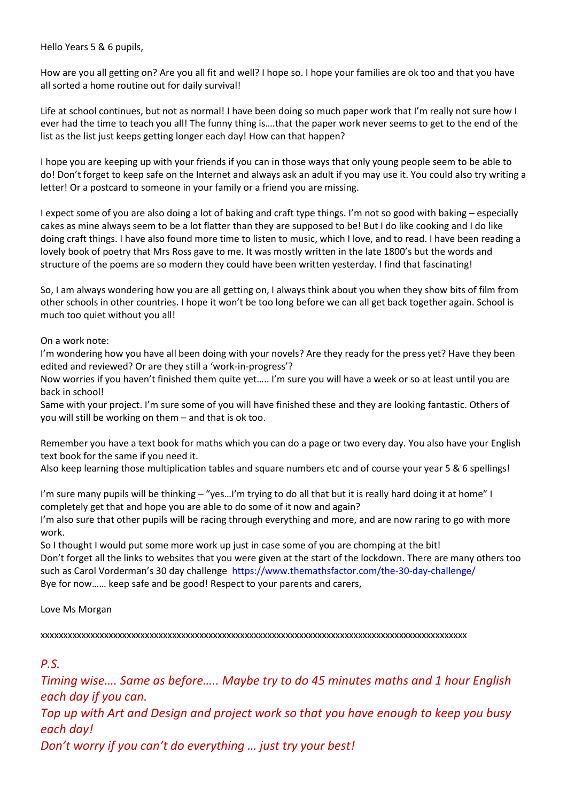Hello Years 5 & 6 pupils,

How are you all getting on? Are you all fit and well? I hope so. I hope your families are ok too and that you have all sorted a home routine out for daily survival!

Life at school continues, but not as normal! I have been doing so much paper work that I'm really not sure how I ever had the time to teach you all! The funny thing is….that the paper work never seems to get to the end of the list as the list just keeps getting longer each day! How can that happen?

I hope you are keeping up with your friends if you can in those ways that only young people seem to be able to do! Don't forget to keep safe on the Internet and always ask an adult if you may use it. You could also try writing a letter! Or a postcard to someone in your family or a friend you are missing.

I expect some of you are also doing a lot of baking and craft type things. I'm not so good with baking – especially cakes as mine always seem to be a lot flatter than they are supposed to be! But I do like cooking and I do like doing craft things. I have also found more time to listen to music, which I love, and to read. I have been reading a lovely book of poetry that Mrs Ross gave to me. It was mostly written in the late 1800's but the words and structure of the poems are so modern they could have been written yesterday. I find that fascinating!

So, I am always wondering how you are all getting on, I always think about you when they show bits of film from other schools in other countries. I hope it won't be too long before we can all get back together again. School is much too quiet without you all!

## On a work note:

I'm wondering how you have all been doing with your novels? Are they ready for the press yet? Have they been edited and reviewed? Or are they still a 'work-in-progress'?

Now worries if you haven't finished them quite yet….. I'm sure you will have a week or so at least until you are back in school!

Same with your project. I'm sure some of you will have finished these and they are looking fantastic. Others of you will still be working on them – and that is ok too.

Remember you have a text book for maths which you can do a page or two every day. You also have your English text book for the same if you need it.

Also keep learning those multiplication tables and square numbers etc and of course your year 5 & 6 spellings!

I'm sure many pupils will be thinking – "yes…I'm trying to do all that but it is really hard doing it at home" I completely get that and hope you are able to do some of it now and again?

I'm also sure that other pupils will be racing through everything and more, and are now raring to go with more work.

So I thought I would put some more work up just in case some of you are chomping at the bit! Don't forget all the links to websites that you were given at the start of the lockdown. There are many others too such as Carol Vorderman's 30 day challenge https://www.themathsfactor.com/the-30-day-challenge/ Bye for now…… keep safe and be good! Respect to your parents and carers,

## Love Ms Morgan

xxxxxxxxxxxxxxxxxxxxxxxxxxxxxxxxxxxxxxxxxxxxxxxxxxxxxxxxxxxxxxxxxxxxxxxxxxxxxxxxxxxxxxxxxxxxxx

## *P.S.*

*Timing wise…. Same as before….. Maybe try to do 45 minutes maths and 1 hour English each day if you can.*

*Top up with Art and Design and project work so that you have enough to keep you busy each day!*

*Don't worry if you can't do everything … just try your best!*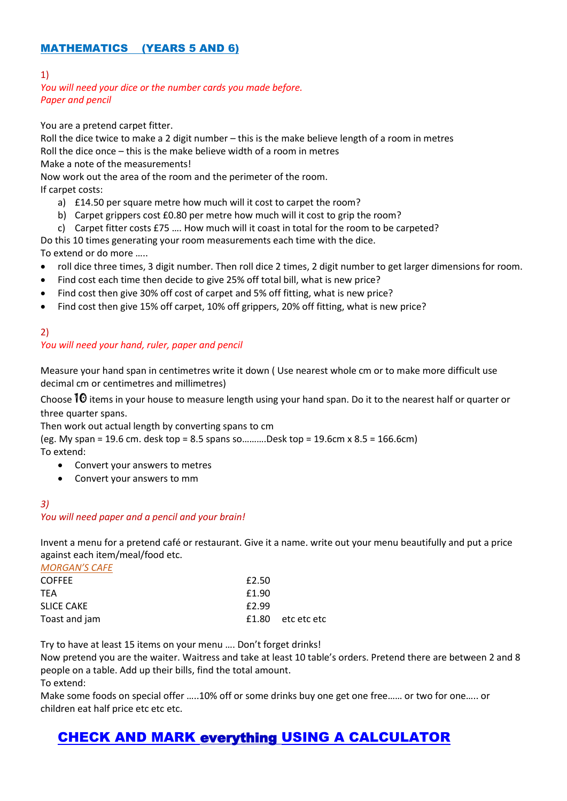## MATHEMATICS (YEARS 5 AND 6)

## 1)

## *You will need your dice or the number cards you made before. Paper and pencil*

You are a pretend carpet fitter.

Roll the dice twice to make a 2 digit number – this is the make believe length of a room in metres Roll the dice once – this is the make believe width of a room in metres Make a note of the measurements!

Now work out the area of the room and the perimeter of the room. If carpet costs:

- a) £14.50 per square metre how much will it cost to carpet the room?
- b) Carpet grippers cost £0.80 per metre how much will it cost to grip the room?
- c) Carpet fitter costs £75 …. How much will it coast in total for the room to be carpeted?

Do this 10 times generating your room measurements each time with the dice. To extend or do more …..

- roll dice three times, 3 digit number. Then roll dice 2 times, 2 digit number to get larger dimensions for room.
- Find cost each time then decide to give 25% off total bill, what is new price?
- Find cost then give 30% off cost of carpet and 5% off fitting, what is new price?
- Find cost then give 15% off carpet, 10% off grippers, 20% off fitting, what is new price?

## 2)

## *You will need your hand, ruler, paper and pencil*

Measure your hand span in centimetres write it down ( Use nearest whole cm or to make more difficult use decimal cm or centimetres and millimetres)

Choose  $10$  items in your house to measure length using your hand span. Do it to the nearest half or quarter or three quarter spans.

Then work out actual length by converting spans to cm

(eg. My span = 19.6 cm. desk top = 8.5 spans so……….Desk top = 19.6cm x 8.5 = 166.6cm) To extend:

- Convert your answers to metres
- Convert your answers to mm

#### *3) You will need paper and a pencil and your brain!*

Invent a menu for a pretend café or restaurant. Give it a name. write out your menu beautifully and put a price against each item/meal/food etc.

| <b>MORGAN'S CAFE</b> |       |                   |
|----------------------|-------|-------------------|
| <b>COFFEE</b>        | £2.50 |                   |
| <b>TFA</b>           | £1.90 |                   |
| <b>SLICE CAKE</b>    | £2.99 |                   |
| Toast and jam        |       | £1.80 etc etc etc |

Try to have at least 15 items on your menu …. Don't forget drinks!

Now pretend you are the waiter. Waitress and take at least 10 table's orders. Pretend there are between 2 and 8 people on a table. Add up their bills, find the total amount.

To extend:

Make some foods on special offer …..10% off or some drinks buy one get one free…… or two for one….. or children eat half price etc etc etc.

# CHECK AND MARK everything USING A CALCULATOR